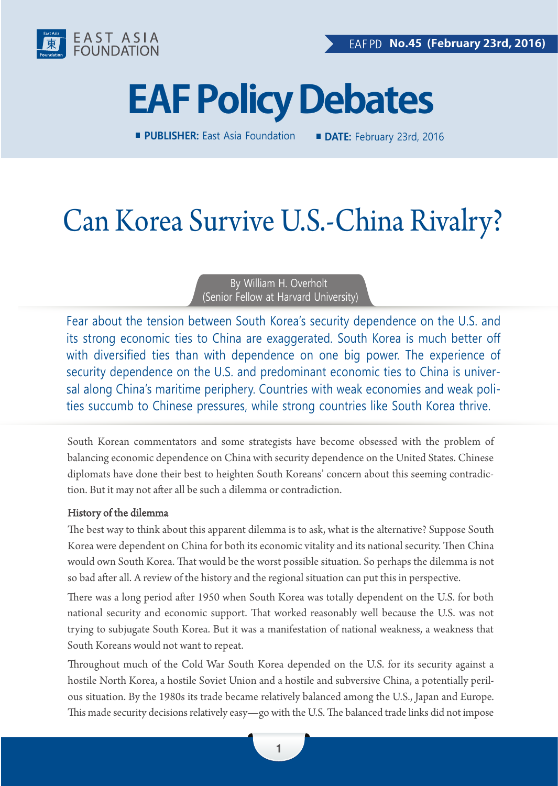

# **EAF Policy Debates**

**PUBLISHER:** East Asia Foundation **DATE:** February 23rd, 2016

# Can Korea Survive U.S.-China Rivalry?

By William H. Overholt (Senior Fellow at Harvard University)

Fear about the tension between South Korea's security dependence on the U.S. and its strong economic ties to China are exaggerated. South Korea is much better off with diversified ties than with dependence on one big power. The experience of security dependence on the U.S. and predominant economic ties to China is universal along China's maritime periphery. Countries with weak economies and weak polities succumb to Chinese pressures, while strong countries like South Korea thrive.

South Korean commentators and some strategists have become obsessed with the problem of balancing economic dependence on China with security dependence on the United States. Chinese diplomats have done their best to heighten South Koreans' concern about this seeming contradiction. But it may not after all be such a dilemma or contradiction.

### History of the dilemma

The best way to think about this apparent dilemma is to ask, what is the alternative? Suppose South Korea were dependent on China for both its economic vitality and its national security. Then China would own South Korea. That would be the worst possible situation. So perhaps the dilemma is not so bad after all. A review of the history and the regional situation can put this in perspective.

There was a long period after 1950 when South Korea was totally dependent on the U.S. for both national security and economic support. That worked reasonably well because the U.S. was not trying to subjugate South Korea. But it was a manifestation of national weakness, a weakness that South Koreans would not want to repeat.

Throughout much of the Cold War South Korea depended on the U.S. for its security against a hostile North Korea, a hostile Soviet Union and a hostile and subversive China, a potentially perilous situation. By the 1980s its trade became relatively balanced among the U.S., Japan and Europe. This made security decisions relatively easy—go with the U.S. The balanced trade links did not impose

1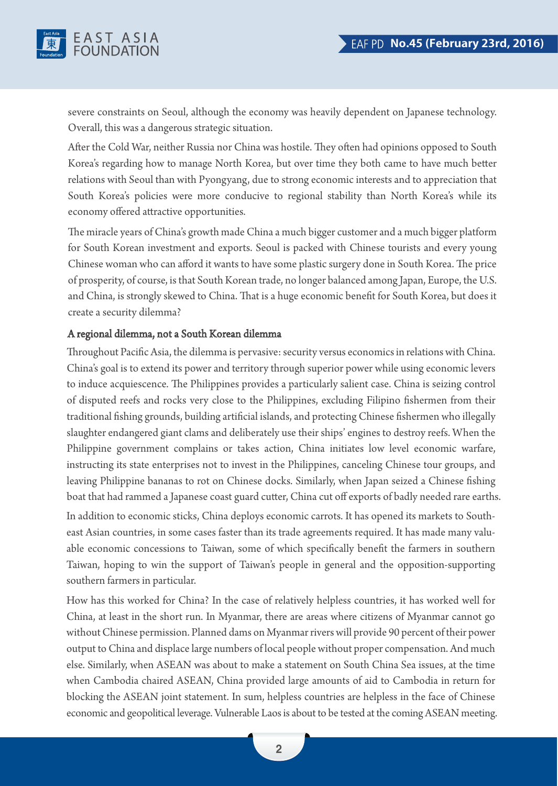

severe constraints on Seoul, although the economy was heavily dependent on Japanese technology. Overall, this was a dangerous strategic situation.

After the Cold War, neither Russia nor China was hostile. They often had opinions opposed to South Korea's regarding how to manage North Korea, but over time they both came to have much better relations with Seoul than with Pyongyang, due to strong economic interests and to appreciation that South Korea's policies were more conducive to regional stability than North Korea's while its economy offered attractive opportunities.

The miracle years of China's growth made China a much bigger customer and a much bigger platform for South Korean investment and exports. Seoul is packed with Chinese tourists and every young Chinese woman who can afford it wants to have some plastic surgery done in South Korea. The price of prosperity, of course, is that South Korean trade, no longer balanced among Japan, Europe, the U.S. and China, is strongly skewed to China. That is a huge economic benefit for South Korea, but does it create a security dilemma?

### A regional dilemma, not a South Korean dilemma

Throughout Pacific Asia, the dilemma is pervasive: security versus economics in relations with China. China's goal is to extend its power and territory through superior power while using economic levers to induce acquiescence. The Philippines provides a particularly salient case. China is seizing control of disputed reefs and rocks very close to the Philippines, excluding Filipino fishermen from their traditional fishing grounds, building artificial islands, and protecting Chinese fishermen who illegally slaughter endangered giant clams and deliberately use their ships' engines to destroy reefs. When the Philippine government complains or takes action, China initiates low level economic warfare, instructing its state enterprises not to invest in the Philippines, canceling Chinese tour groups, and leaving Philippine bananas to rot on Chinese docks. Similarly, when Japan seized a Chinese fishing boat that had rammed a Japanese coast guard cutter, China cut off exports of badly needed rare earths.

In addition to economic sticks, China deploys economic carrots. It has opened its markets to Southeast Asian countries, in some cases faster than its trade agreements required. It has made many valuable economic concessions to Taiwan, some of which specifically benefit the farmers in southern Taiwan, hoping to win the support of Taiwan's people in general and the opposition-supporting southern farmers in particular.

How has this worked for China? In the case of relatively helpless countries, it has worked well for China, at least in the short run. In Myanmar, there are areas where citizens of Myanmar cannot go without Chinese permission. Planned dams on Myanmar rivers will provide 90 percent of their power output to China and displace large numbers of local people without proper compensation. And much else. Similarly, when ASEAN was about to make a statement on South China Sea issues, at the time when Cambodia chaired ASEAN, China provided large amounts of aid to Cambodia in return for blocking the ASEAN joint statement. In sum, helpless countries are helpless in the face of Chinese economic and geopolitical leverage. Vulnerable Laos is about to be tested at the coming ASEAN meeting.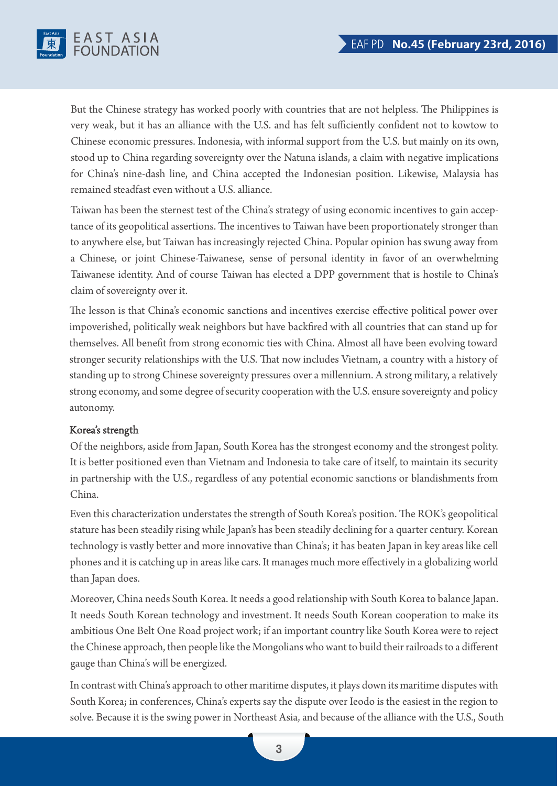

But the Chinese strategy has worked poorly with countries that are not helpless. The Philippines is very weak, but it has an alliance with the U.S. and has felt sufficiently confident not to kowtow to Chinese economic pressures. Indonesia, with informal support from the U.S. but mainly on its own, stood up to China regarding sovereignty over the Natuna islands, a claim with negative implications for China's nine-dash line, and China accepted the Indonesian position. Likewise, Malaysia has remained steadfast even without a U.S. alliance.

Taiwan has been the sternest test of the China's strategy of using economic incentives to gain acceptance of its geopolitical assertions. The incentives to Taiwan have been proportionately stronger than to anywhere else, but Taiwan has increasingly rejected China. Popular opinion has swung away from a Chinese, or joint Chinese-Taiwanese, sense of personal identity in favor of an overwhelming Taiwanese identity. And of course Taiwan has elected a DPP government that is hostile to China's claim of sovereignty over it.

The lesson is that China's economic sanctions and incentives exercise effective political power over impoverished, politically weak neighbors but have backfired with all countries that can stand up for themselves. All benefit from strong economic ties with China. Almost all have been evolving toward stronger security relationships with the U.S. That now includes Vietnam, a country with a history of standing up to strong Chinese sovereignty pressures over a millennium. A strong military, a relatively strong economy, and some degree of security cooperation with the U.S. ensure sovereignty and policy autonomy.

#### Korea's strength

Of the neighbors, aside from Japan, South Korea has the strongest economy and the strongest polity. It is better positioned even than Vietnam and Indonesia to take care of itself, to maintain its security in partnership with the U.S., regardless of any potential economic sanctions or blandishments from China.

Even this characterization understates the strength of South Korea's position. The ROK's geopolitical stature has been steadily rising while Japan's has been steadily declining for a quarter century. Korean technology is vastly better and more innovative than China's; it has beaten Japan in key areas like cell phones and it is catching up in areas like cars. It manages much more effectively in a globalizing world than Japan does.

Moreover, China needs South Korea. It needs a good relationship with South Korea to balance Japan. It needs South Korean technology and investment. It needs South Korean cooperation to make its ambitious One Belt One Road project work; if an important country like South Korea were to reject the Chinese approach, then people like the Mongolians who want to build their railroads to a different gauge than China's will be energized.

In contrast with China's approach to other maritime disputes, it plays down its maritime disputes with South Korea; in conferences, China's experts say the dispute over Ieodo is the easiest in the region to solve. Because it is the swing power in Northeast Asia, and because of the alliance with the U.S., South

3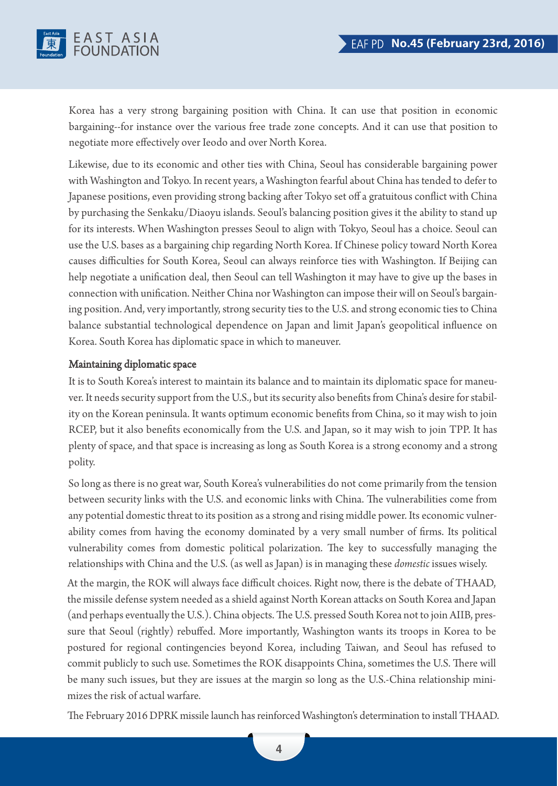

Korea has a very strong bargaining position with China. It can use that position in economic bargaining--for instance over the various free trade zone concepts. And it can use that position to negotiate more effectively over Ieodo and over North Korea.

Likewise, due to its economic and other ties with China, Seoul has considerable bargaining power with Washington and Tokyo. In recent years, a Washington fearful about China has tended to defer to Japanese positions, even providing strong backing after Tokyo set off a gratuitous conflict with China by purchasing the Senkaku/Diaoyu islands. Seoul's balancing position gives it the ability to stand up for its interests. When Washington presses Seoul to align with Tokyo, Seoul has a choice. Seoul can use the U.S. bases as a bargaining chip regarding North Korea. If Chinese policy toward North Korea causes difficulties for South Korea, Seoul can always reinforce ties with Washington. If Beijing can help negotiate a unification deal, then Seoul can tell Washington it may have to give up the bases in connection with unification. Neither China nor Washington can impose their will on Seoul's bargaining position. And, very importantly, strong security ties to the U.S. and strong economic ties to China balance substantial technological dependence on Japan and limit Japan's geopolitical influence on Korea. South Korea has diplomatic space in which to maneuver.

#### Maintaining diplomatic space

It is to South Korea's interest to maintain its balance and to maintain its diplomatic space for maneuver. It needs security support from the U.S., but its security also benefits from China's desire for stability on the Korean peninsula. It wants optimum economic benefits from China, so it may wish to join RCEP, but it also benefits economically from the U.S. and Japan, so it may wish to join TPP. It has plenty of space, and that space is increasing as long as South Korea is a strong economy and a strong polity.

So long as there is no great war, South Korea's vulnerabilities do not come primarily from the tension between security links with the U.S. and economic links with China. The vulnerabilities come from any potential domestic threat to its position as a strong and rising middle power. Its economic vulnerability comes from having the economy dominated by a very small number of firms. Its political vulnerability comes from domestic political polarization. The key to successfully managing the relationships with China and the U.S. (as well as Japan) is in managing these *domestic* issues wisely.

At the margin, the ROK will always face difficult choices. Right now, there is the debate of THAAD, the missile defense system needed as a shield against North Korean attacks on South Korea and Japan (and perhaps eventually the U.S.). China objects. The U.S. pressed South Korea not to join AIIB, pressure that Seoul (rightly) rebuffed. More importantly, Washington wants its troops in Korea to be postured for regional contingencies beyond Korea, including Taiwan, and Seoul has refused to commit publicly to such use. Sometimes the ROK disappoints China, sometimes the U.S. There will be many such issues, but they are issues at the margin so long as the U.S.-China relationship minimizes the risk of actual warfare.

The February 2016 DPRK missile launch has reinforced Washington's determination to install THAAD.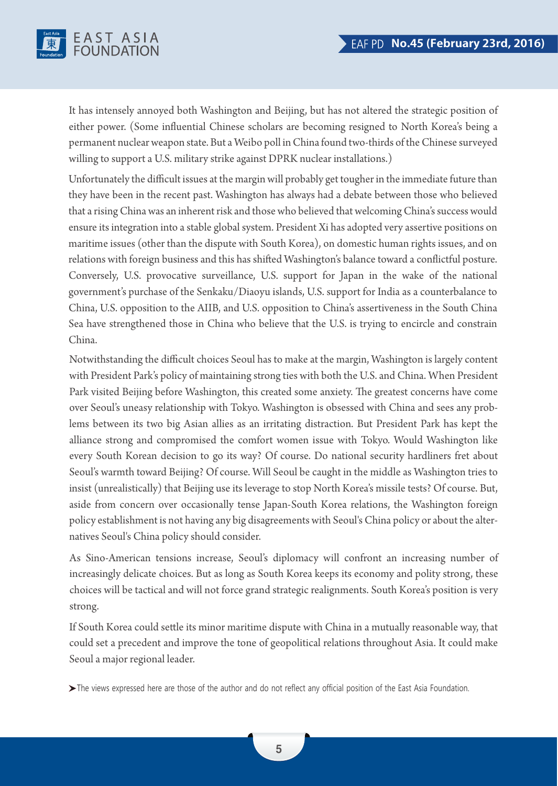

It has intensely annoyed both Washington and Beijing, but has not altered the strategic position of either power. (Some influential Chinese scholars are becoming resigned to North Korea's being a permanent nuclear weapon state. But a Weibo poll in China found two-thirds of the Chinese surveyed willing to support a U.S. military strike against DPRK nuclear installations.)

Unfortunately the difficult issues at the margin will probably get tougher in the immediate future than they have been in the recent past. Washington has always had a debate between those who believed that a rising China was an inherent risk and those who believed that welcoming China's success would ensure its integration into a stable global system. President Xi has adopted very assertive positions on maritime issues (other than the dispute with South Korea), on domestic human rights issues, and on relations with foreign business and this has shifted Washington's balance toward a conflictful posture. Conversely, U.S. provocative surveillance, U.S. support for Japan in the wake of the national government's purchase of the Senkaku/Diaoyu islands, U.S. support for India as a counterbalance to China, U.S. opposition to the AIIB, and U.S. opposition to China's assertiveness in the South China Sea have strengthened those in China who believe that the U.S. is trying to encircle and constrain China.

Notwithstanding the difficult choices Seoul has to make at the margin, Washington is largely content with President Park's policy of maintaining strong ties with both the U.S. and China. When President Park visited Beijing before Washington, this created some anxiety. The greatest concerns have come over Seoul's uneasy relationship with Tokyo. Washington is obsessed with China and sees any problems between its two big Asian allies as an irritating distraction. But President Park has kept the alliance strong and compromised the comfort women issue with Tokyo. Would Washington like every South Korean decision to go its way? Of course. Do national security hardliners fret about Seoul's warmth toward Beijing? Of course. Will Seoul be caught in the middle as Washington tries to insist (unrealistically) that Beijing use its leverage to stop North Korea's missile tests? Of course. But, aside from concern over occasionally tense Japan-South Korea relations, the Washington foreign policy establishment is not having any big disagreements with Seoul's China policy or about the alternatives Seoul's China policy should consider.

As Sino-American tensions increase, Seoul's diplomacy will confront an increasing number of increasingly delicate choices. But as long as South Korea keeps its economy and polity strong, these choices will be tactical and will not force grand strategic realignments. South Korea's position is very strong.

If South Korea could settle its minor maritime dispute with China in a mutually reasonable way, that could set a precedent and improve the tone of geopolitical relations throughout Asia. It could make Seoul a major regional leader.

The views expressed here are those of the author and do not reflect any official position of the East Asia Foundation.